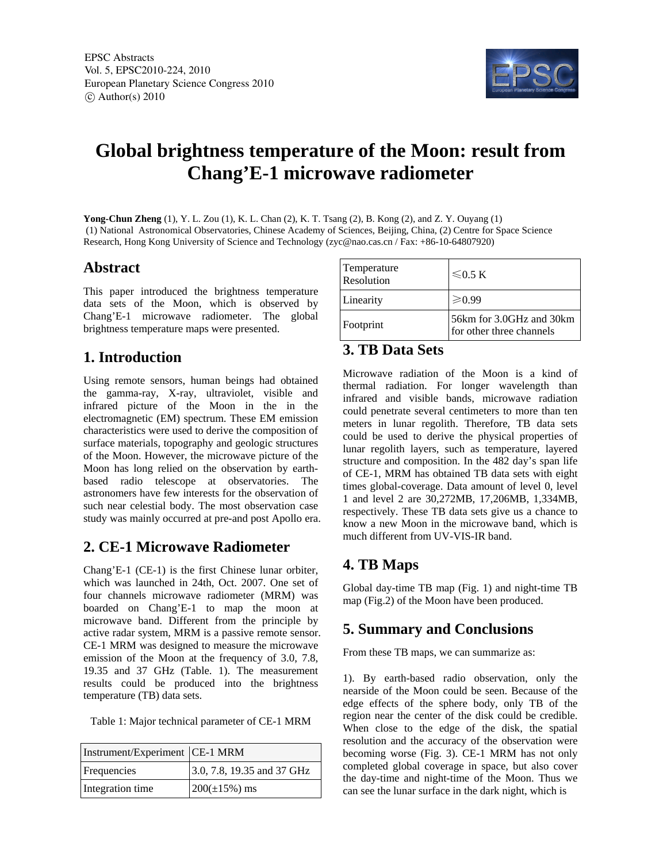

# **Global brightness temperature of the Moon: result from Chang'E-1 microwave radiometer**

**Yong-Chun Zheng** (1), Y. L. Zou (1), K. L. Chan (2), K. T. Tsang (2), B. Kong (2), and Z. Y. Ouyang (1) (1) National Astronomical Observatories, Chinese Academy of Sciences, Beijing, China, (2) Centre for Space Science Research, Hong Kong University of Science and Technology (zyc@nao.cas.cn / Fax: +86-10-64807920)

#### **Abstract**

This paper introduced the brightness temperature data sets of the Moon, which is observed by Chang'E-1 microwave radiometer. The global brightness temperature maps were presented.

## **1. Introduction**

Using remote sensors, human beings had obtained the gamma-ray, X-ray, ultraviolet, visible and infrared picture of the Moon in the in the electromagnetic (EM) spectrum. These EM emission characteristics were used to derive the composition of surface materials, topography and geologic structures of the Moon. However, the microwave picture of the Moon has long relied on the observation by earthbased radio telescope at observatories. The astronomers have few interests for the observation of such near celestial body. The most observation case study was mainly occurred at pre-and post Apollo era.

#### **2. CE-1 Microwave Radiometer**

Chang'E-1 (CE-1) is the first Chinese lunar orbiter, which was launched in 24th, Oct. 2007. One set of four channels microwave radiometer (MRM) was boarded on Chang'E-1 to map the moon at microwave band. Different from the principle by active radar system, MRM is a passive remote sensor. CE-1 MRM was designed to measure the microwave emission of the Moon at the frequency of 3.0, 7.8, 19.35 and 37 GHz (Table. 1). The measurement results could be produced into the brightness temperature (TB) data sets.

Table 1: Major technical parameter of CE-1 MRM

| Instrument/Experiment   CE-1 MRM |                            |
|----------------------------------|----------------------------|
| Frequencies                      | 3.0, 7.8, 19.35 and 37 GHz |
| Integration time                 | $200(\pm 15\%)$ ms         |

| Temperature<br>Resolution | $\leq 0.5 K$                                         |
|---------------------------|------------------------------------------------------|
| Linearity                 | $\geqslant 0.99$                                     |
| Footprint                 | 56km for 3.0GHz and 30km<br>for other three channels |

#### **3. TB Data Sets**

Microwave radiation of the Moon is a kind of thermal radiation. For longer wavelength than infrared and visible bands, microwave radiation could penetrate several centimeters to more than ten meters in lunar regolith. Therefore, TB data sets could be used to derive the physical properties of lunar regolith layers, such as temperature, layered structure and composition. In the 482 day's span life of CE-1, MRM has obtained TB data sets with eight times global-coverage. Data amount of level 0, level 1 and level 2 are 30,272MB, 17,206MB, 1,334MB, respectively. These TB data sets give us a chance to know a new Moon in the microwave band, which is much different from UV-VIS-IR band.

## **4. TB Maps**

Global day-time TB map (Fig. 1) and night-time TB map (Fig.2) of the Moon have been produced.

## **5. Summary and Conclusions**

From these TB maps, we can summarize as:

1). By earth-based radio observation, only the nearside of the Moon could be seen. Because of the edge effects of the sphere body, only TB of the region near the center of the disk could be credible. When close to the edge of the disk, the spatial resolution and the accuracy of the observation were becoming worse (Fig. 3). CE-1 MRM has not only completed global coverage in space, but also cover the day-time and night-time of the Moon. Thus we can see the lunar surface in the dark night, which is